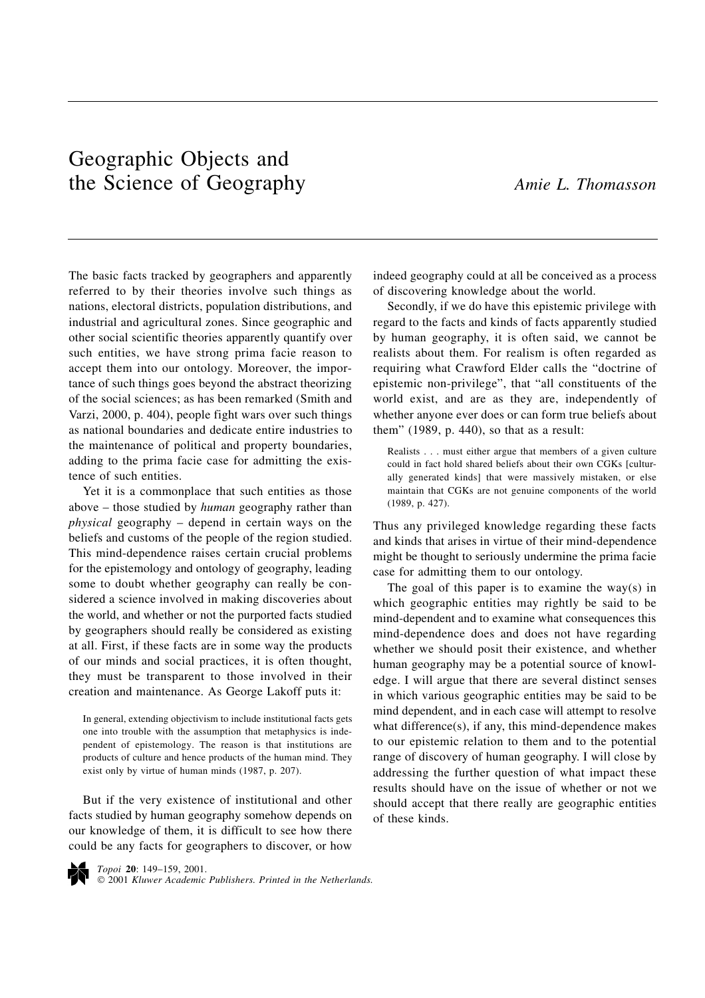# Geographic Objects and the Science of Geography *Amie L. Thomasson*

The basic facts tracked by geographers and apparently referred to by their theories involve such things as nations, electoral districts, population distributions, and industrial and agricultural zones. Since geographic and other social scientific theories apparently quantify over such entities, we have strong prima facie reason to accept them into our ontology. Moreover, the importance of such things goes beyond the abstract theorizing of the social sciences; as has been remarked (Smith and Varzi, 2000, p. 404), people fight wars over such things as national boundaries and dedicate entire industries to the maintenance of political and property boundaries, adding to the prima facie case for admitting the existence of such entities.

Yet it is a commonplace that such entities as those above – those studied by *human* geography rather than *physical* geography – depend in certain ways on the beliefs and customs of the people of the region studied. This mind-dependence raises certain crucial problems for the epistemology and ontology of geography, leading some to doubt whether geography can really be considered a science involved in making discoveries about the world, and whether or not the purported facts studied by geographers should really be considered as existing at all. First, if these facts are in some way the products of our minds and social practices, it is often thought, they must be transparent to those involved in their creation and maintenance. As George Lakoff puts it:

In general, extending objectivism to include institutional facts gets one into trouble with the assumption that metaphysics is independent of epistemology. The reason is that institutions are products of culture and hence products of the human mind. They exist only by virtue of human minds (1987, p. 207).

But if the very existence of institutional and other facts studied by human geography somehow depends on our knowledge of them, it is difficult to see how there could be any facts for geographers to discover, or how

indeed geography could at all be conceived as a process of discovering knowledge about the world.

Secondly, if we do have this epistemic privilege with regard to the facts and kinds of facts apparently studied by human geography, it is often said, we cannot be realists about them. For realism is often regarded as requiring what Crawford Elder calls the "doctrine of epistemic non-privilege", that "all constituents of the world exist, and are as they are, independently of whether anyone ever does or can form true beliefs about them" (1989, p. 440), so that as a result:

Realists . . . must either argue that members of a given culture could in fact hold shared beliefs about their own CGKs [culturally generated kinds] that were massively mistaken, or else maintain that CGKs are not genuine components of the world (1989, p. 427).

Thus any privileged knowledge regarding these facts and kinds that arises in virtue of their mind-dependence might be thought to seriously undermine the prima facie case for admitting them to our ontology.

The goal of this paper is to examine the way $(s)$  in which geographic entities may rightly be said to be mind-dependent and to examine what consequences this mind-dependence does and does not have regarding whether we should posit their existence, and whether human geography may be a potential source of knowledge. I will argue that there are several distinct senses in which various geographic entities may be said to be mind dependent, and in each case will attempt to resolve what difference(s), if any, this mind-dependence makes to our epistemic relation to them and to the potential range of discovery of human geography. I will close by addressing the further question of what impact these results should have on the issue of whether or not we should accept that there really are geographic entities of these kinds.



*Topoi* **20**: 149–159, 2001. 2001 *Kluwer Academic Publishers. Printed in the Netherlands.*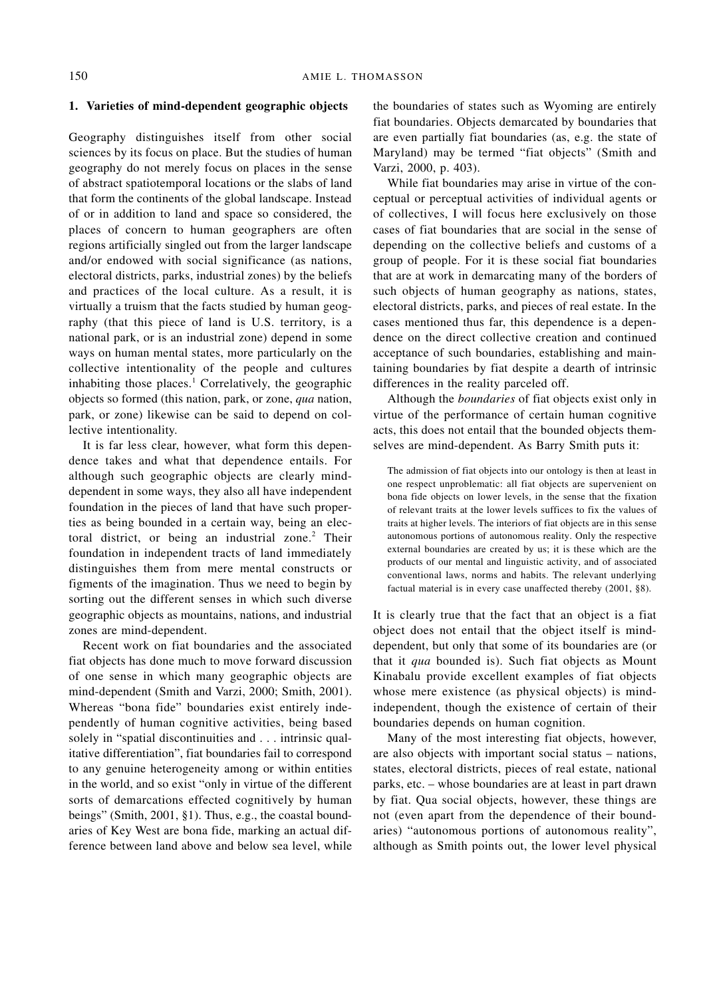#### **1. Varieties of mind-dependent geographic objects**

Geography distinguishes itself from other social sciences by its focus on place. But the studies of human geography do not merely focus on places in the sense of abstract spatiotemporal locations or the slabs of land that form the continents of the global landscape. Instead of or in addition to land and space so considered, the places of concern to human geographers are often regions artificially singled out from the larger landscape and/or endowed with social significance (as nations, electoral districts, parks, industrial zones) by the beliefs and practices of the local culture. As a result, it is virtually a truism that the facts studied by human geography (that this piece of land is U.S. territory, is a national park, or is an industrial zone) depend in some ways on human mental states, more particularly on the collective intentionality of the people and cultures inhabiting those places.<sup>1</sup> Correlatively, the geographic objects so formed (this nation, park, or zone, *qua* nation, park, or zone) likewise can be said to depend on collective intentionality.

It is far less clear, however, what form this dependence takes and what that dependence entails. For although such geographic objects are clearly minddependent in some ways, they also all have independent foundation in the pieces of land that have such properties as being bounded in a certain way, being an electoral district, or being an industrial zone.<sup>2</sup> Their foundation in independent tracts of land immediately distinguishes them from mere mental constructs or figments of the imagination. Thus we need to begin by sorting out the different senses in which such diverse geographic objects as mountains, nations, and industrial zones are mind-dependent.

Recent work on fiat boundaries and the associated fiat objects has done much to move forward discussion of one sense in which many geographic objects are mind-dependent (Smith and Varzi, 2000; Smith, 2001). Whereas "bona fide" boundaries exist entirely independently of human cognitive activities, being based solely in "spatial discontinuities and . . . intrinsic qualitative differentiation", fiat boundaries fail to correspond to any genuine heterogeneity among or within entities in the world, and so exist "only in virtue of the different sorts of demarcations effected cognitively by human beings" (Smith, 2001, §1). Thus, e.g., the coastal boundaries of Key West are bona fide, marking an actual difference between land above and below sea level, while

the boundaries of states such as Wyoming are entirely fiat boundaries. Objects demarcated by boundaries that are even partially fiat boundaries (as, e.g. the state of Maryland) may be termed "fiat objects" (Smith and Varzi, 2000, p. 403).

While fiat boundaries may arise in virtue of the conceptual or perceptual activities of individual agents or of collectives, I will focus here exclusively on those cases of fiat boundaries that are social in the sense of depending on the collective beliefs and customs of a group of people. For it is these social fiat boundaries that are at work in demarcating many of the borders of such objects of human geography as nations, states, electoral districts, parks, and pieces of real estate. In the cases mentioned thus far, this dependence is a dependence on the direct collective creation and continued acceptance of such boundaries, establishing and maintaining boundaries by fiat despite a dearth of intrinsic differences in the reality parceled off.

Although the *boundaries* of fiat objects exist only in virtue of the performance of certain human cognitive acts, this does not entail that the bounded objects themselves are mind-dependent. As Barry Smith puts it:

The admission of fiat objects into our ontology is then at least in one respect unproblematic: all fiat objects are supervenient on bona fide objects on lower levels, in the sense that the fixation of relevant traits at the lower levels suffices to fix the values of traits at higher levels. The interiors of fiat objects are in this sense autonomous portions of autonomous reality. Only the respective external boundaries are created by us; it is these which are the products of our mental and linguistic activity, and of associated conventional laws, norms and habits. The relevant underlying factual material is in every case unaffected thereby (2001, §8).

It is clearly true that the fact that an object is a fiat object does not entail that the object itself is minddependent, but only that some of its boundaries are (or that it *qua* bounded is). Such fiat objects as Mount Kinabalu provide excellent examples of fiat objects whose mere existence (as physical objects) is mindindependent, though the existence of certain of their boundaries depends on human cognition.

Many of the most interesting fiat objects, however, are also objects with important social status – nations, states, electoral districts, pieces of real estate, national parks, etc. – whose boundaries are at least in part drawn by fiat. Qua social objects, however, these things are not (even apart from the dependence of their boundaries) "autonomous portions of autonomous reality", although as Smith points out, the lower level physical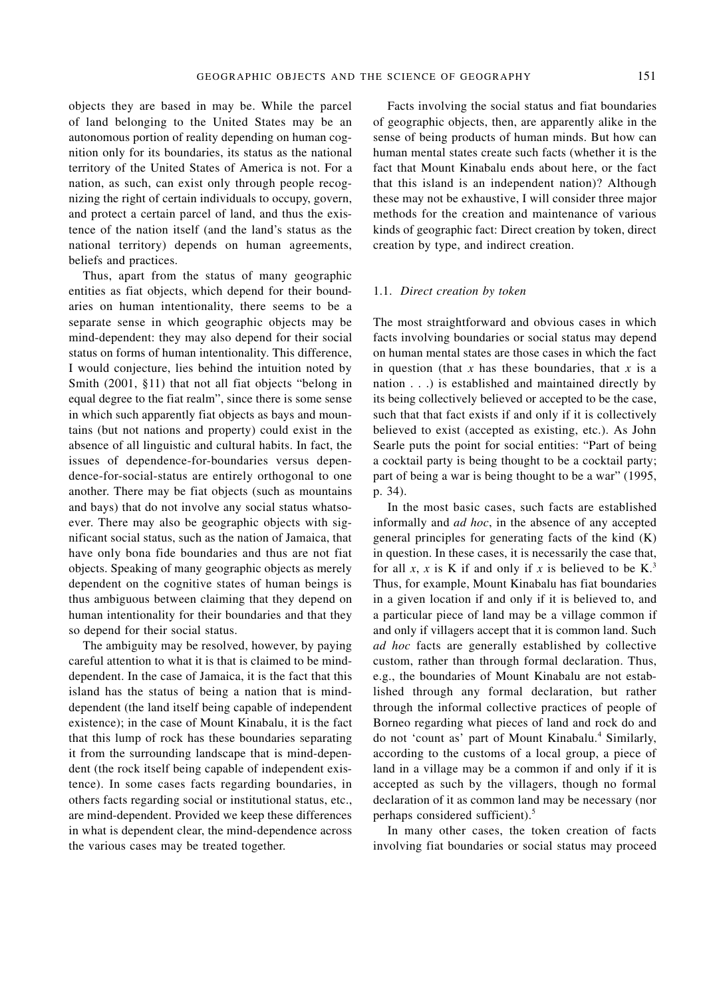objects they are based in may be. While the parcel of land belonging to the United States may be an autonomous portion of reality depending on human cognition only for its boundaries, its status as the national territory of the United States of America is not. For a nation, as such, can exist only through people recognizing the right of certain individuals to occupy, govern, and protect a certain parcel of land, and thus the existence of the nation itself (and the land's status as the national territory) depends on human agreements, beliefs and practices.

Thus, apart from the status of many geographic entities as fiat objects, which depend for their boundaries on human intentionality, there seems to be a separate sense in which geographic objects may be mind-dependent: they may also depend for their social status on forms of human intentionality. This difference, I would conjecture, lies behind the intuition noted by Smith (2001, §11) that not all fiat objects "belong in equal degree to the fiat realm", since there is some sense in which such apparently fiat objects as bays and mountains (but not nations and property) could exist in the absence of all linguistic and cultural habits. In fact, the issues of dependence-for-boundaries versus dependence-for-social-status are entirely orthogonal to one another. There may be fiat objects (such as mountains and bays) that do not involve any social status whatsoever. There may also be geographic objects with significant social status, such as the nation of Jamaica, that have only bona fide boundaries and thus are not fiat objects. Speaking of many geographic objects as merely dependent on the cognitive states of human beings is thus ambiguous between claiming that they depend on human intentionality for their boundaries and that they so depend for their social status.

The ambiguity may be resolved, however, by paying careful attention to what it is that is claimed to be minddependent. In the case of Jamaica, it is the fact that this island has the status of being a nation that is minddependent (the land itself being capable of independent existence); in the case of Mount Kinabalu, it is the fact that this lump of rock has these boundaries separating it from the surrounding landscape that is mind-dependent (the rock itself being capable of independent existence). In some cases facts regarding boundaries, in others facts regarding social or institutional status, etc., are mind-dependent. Provided we keep these differences in what is dependent clear, the mind-dependence across the various cases may be treated together.

Facts involving the social status and fiat boundaries of geographic objects, then, are apparently alike in the sense of being products of human minds. But how can human mental states create such facts (whether it is the fact that Mount Kinabalu ends about here, or the fact that this island is an independent nation)? Although these may not be exhaustive, I will consider three major methods for the creation and maintenance of various kinds of geographic fact: Direct creation by token, direct creation by type, and indirect creation.

# 1.1. *Direct creation by token*

The most straightforward and obvious cases in which facts involving boundaries or social status may depend on human mental states are those cases in which the fact in question (that *x* has these boundaries, that *x* is a nation . . .) is established and maintained directly by its being collectively believed or accepted to be the case, such that that fact exists if and only if it is collectively believed to exist (accepted as existing, etc.). As John Searle puts the point for social entities: "Part of being a cocktail party is being thought to be a cocktail party; part of being a war is being thought to be a war" (1995, p. 34).

In the most basic cases, such facts are established informally and *ad hoc*, in the absence of any accepted general principles for generating facts of the kind (K) in question. In these cases, it is necessarily the case that, for all *x*, *x* is K if and only if *x* is believed to be  $K^3$ . Thus, for example, Mount Kinabalu has fiat boundaries in a given location if and only if it is believed to, and a particular piece of land may be a village common if and only if villagers accept that it is common land. Such *ad hoc* facts are generally established by collective custom, rather than through formal declaration. Thus, e.g., the boundaries of Mount Kinabalu are not established through any formal declaration, but rather through the informal collective practices of people of Borneo regarding what pieces of land and rock do and do not 'count as' part of Mount Kinabalu.4 Similarly, according to the customs of a local group, a piece of land in a village may be a common if and only if it is accepted as such by the villagers, though no formal declaration of it as common land may be necessary (nor perhaps considered sufficient).5

In many other cases, the token creation of facts involving fiat boundaries or social status may proceed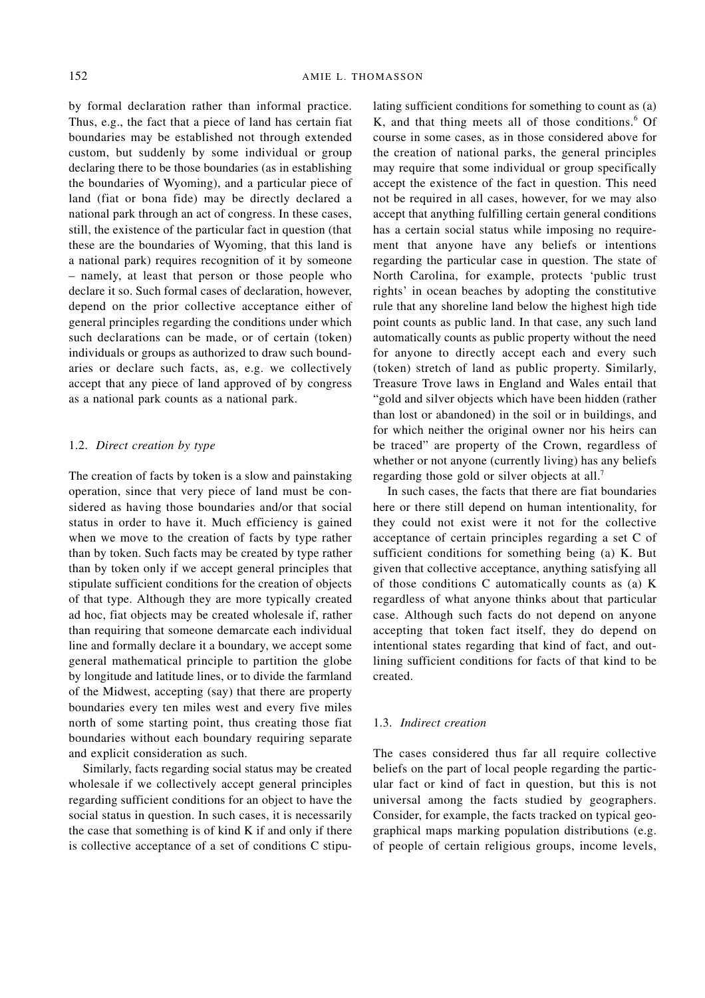by formal declaration rather than informal practice. Thus, e.g., the fact that a piece of land has certain fiat boundaries may be established not through extended custom, but suddenly by some individual or group declaring there to be those boundaries (as in establishing the boundaries of Wyoming), and a particular piece of land (fiat or bona fide) may be directly declared a national park through an act of congress. In these cases, still, the existence of the particular fact in question (that these are the boundaries of Wyoming, that this land is a national park) requires recognition of it by someone – namely, at least that person or those people who declare it so. Such formal cases of declaration, however, depend on the prior collective acceptance either of general principles regarding the conditions under which such declarations can be made, or of certain (token) individuals or groups as authorized to draw such boundaries or declare such facts, as, e.g. we collectively accept that any piece of land approved of by congress as a national park counts as a national park.

# 1.2. *Direct creation by type*

The creation of facts by token is a slow and painstaking operation, since that very piece of land must be considered as having those boundaries and/or that social status in order to have it. Much efficiency is gained when we move to the creation of facts by type rather than by token. Such facts may be created by type rather than by token only if we accept general principles that stipulate sufficient conditions for the creation of objects of that type. Although they are more typically created ad hoc, fiat objects may be created wholesale if, rather than requiring that someone demarcate each individual line and formally declare it a boundary, we accept some general mathematical principle to partition the globe by longitude and latitude lines, or to divide the farmland of the Midwest, accepting (say) that there are property boundaries every ten miles west and every five miles north of some starting point, thus creating those fiat boundaries without each boundary requiring separate and explicit consideration as such.

Similarly, facts regarding social status may be created wholesale if we collectively accept general principles regarding sufficient conditions for an object to have the social status in question. In such cases, it is necessarily the case that something is of kind K if and only if there is collective acceptance of a set of conditions C stipulating sufficient conditions for something to count as (a) K, and that thing meets all of those conditions. $6$  Of course in some cases, as in those considered above for the creation of national parks, the general principles may require that some individual or group specifically accept the existence of the fact in question. This need not be required in all cases, however, for we may also accept that anything fulfilling certain general conditions has a certain social status while imposing no requirement that anyone have any beliefs or intentions regarding the particular case in question. The state of North Carolina, for example, protects 'public trust rights' in ocean beaches by adopting the constitutive rule that any shoreline land below the highest high tide point counts as public land. In that case, any such land automatically counts as public property without the need for anyone to directly accept each and every such (token) stretch of land as public property. Similarly, Treasure Trove laws in England and Wales entail that "gold and silver objects which have been hidden (rather than lost or abandoned) in the soil or in buildings, and for which neither the original owner nor his heirs can be traced" are property of the Crown, regardless of whether or not anyone (currently living) has any beliefs regarding those gold or silver objects at all.<sup>7</sup>

In such cases, the facts that there are fiat boundaries here or there still depend on human intentionality, for they could not exist were it not for the collective acceptance of certain principles regarding a set C of sufficient conditions for something being (a) K. But given that collective acceptance, anything satisfying all of those conditions C automatically counts as (a) K regardless of what anyone thinks about that particular case. Although such facts do not depend on anyone accepting that token fact itself, they do depend on intentional states regarding that kind of fact, and outlining sufficient conditions for facts of that kind to be created.

# 1.3. *Indirect creation*

The cases considered thus far all require collective beliefs on the part of local people regarding the particular fact or kind of fact in question, but this is not universal among the facts studied by geographers. Consider, for example, the facts tracked on typical geographical maps marking population distributions (e.g. of people of certain religious groups, income levels,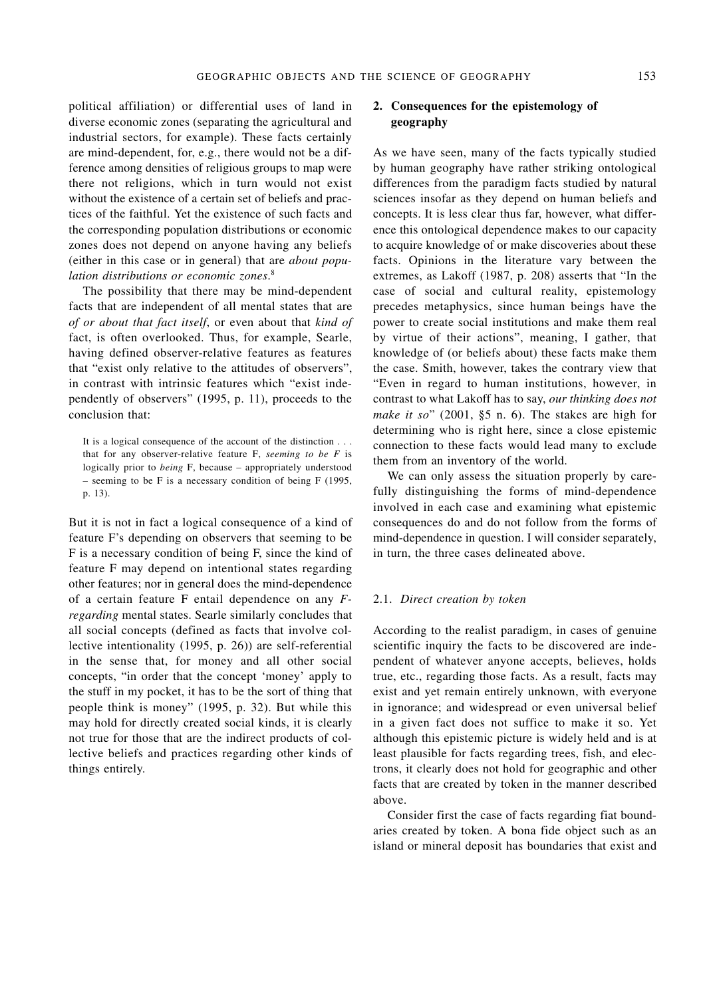political affiliation) or differential uses of land in diverse economic zones (separating the agricultural and industrial sectors, for example). These facts certainly are mind-dependent, for, e.g., there would not be a difference among densities of religious groups to map were there not religions, which in turn would not exist without the existence of a certain set of beliefs and practices of the faithful. Yet the existence of such facts and the corresponding population distributions or economic zones does not depend on anyone having any beliefs (either in this case or in general) that are *about population distributions or economic zones*. 8

The possibility that there may be mind-dependent facts that are independent of all mental states that are *of or about that fact itself*, or even about that *kind of* fact, is often overlooked. Thus, for example, Searle, having defined observer-relative features as features that "exist only relative to the attitudes of observers", in contrast with intrinsic features which "exist independently of observers" (1995, p. 11), proceeds to the conclusion that:

It is a logical consequence of the account of the distinction . . . that for any observer-relative feature F, *seeming to be F* is logically prior to *being* F, because – appropriately understood – seeming to be F is a necessary condition of being F (1995, p. 13).

But it is not in fact a logical consequence of a kind of feature F's depending on observers that seeming to be F is a necessary condition of being F, since the kind of feature F may depend on intentional states regarding other features; nor in general does the mind-dependence of a certain feature F entail dependence on any *Fregarding* mental states. Searle similarly concludes that all social concepts (defined as facts that involve collective intentionality (1995, p. 26)) are self-referential in the sense that, for money and all other social concepts, "in order that the concept 'money' apply to the stuff in my pocket, it has to be the sort of thing that people think is money" (1995, p. 32). But while this may hold for directly created social kinds, it is clearly not true for those that are the indirect products of collective beliefs and practices regarding other kinds of things entirely.

# **2. Consequences for the epistemology of geography**

As we have seen, many of the facts typically studied by human geography have rather striking ontological differences from the paradigm facts studied by natural sciences insofar as they depend on human beliefs and concepts. It is less clear thus far, however, what difference this ontological dependence makes to our capacity to acquire knowledge of or make discoveries about these facts. Opinions in the literature vary between the extremes, as Lakoff (1987, p. 208) asserts that "In the case of social and cultural reality, epistemology precedes metaphysics, since human beings have the power to create social institutions and make them real by virtue of their actions", meaning, I gather, that knowledge of (or beliefs about) these facts make them the case. Smith, however, takes the contrary view that "Even in regard to human institutions, however, in contrast to what Lakoff has to say, *our thinking does not make it so*" (2001, §5 n. 6). The stakes are high for determining who is right here, since a close epistemic connection to these facts would lead many to exclude them from an inventory of the world.

We can only assess the situation properly by carefully distinguishing the forms of mind-dependence involved in each case and examining what epistemic consequences do and do not follow from the forms of mind-dependence in question. I will consider separately, in turn, the three cases delineated above.

#### 2.1. *Direct creation by token*

According to the realist paradigm, in cases of genuine scientific inquiry the facts to be discovered are independent of whatever anyone accepts, believes, holds true, etc., regarding those facts. As a result, facts may exist and yet remain entirely unknown, with everyone in ignorance; and widespread or even universal belief in a given fact does not suffice to make it so. Yet although this epistemic picture is widely held and is at least plausible for facts regarding trees, fish, and electrons, it clearly does not hold for geographic and other facts that are created by token in the manner described above.

Consider first the case of facts regarding fiat boundaries created by token. A bona fide object such as an island or mineral deposit has boundaries that exist and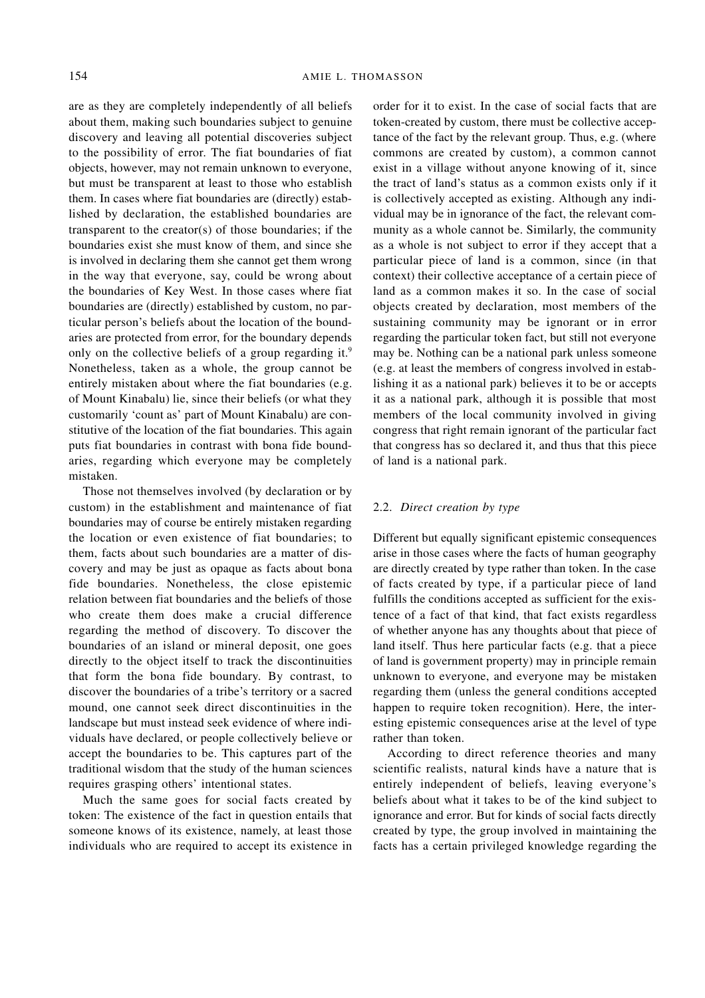are as they are completely independently of all beliefs about them, making such boundaries subject to genuine discovery and leaving all potential discoveries subject to the possibility of error. The fiat boundaries of fiat objects, however, may not remain unknown to everyone, but must be transparent at least to those who establish them. In cases where fiat boundaries are (directly) established by declaration, the established boundaries are transparent to the creator(s) of those boundaries; if the boundaries exist she must know of them, and since she is involved in declaring them she cannot get them wrong in the way that everyone, say, could be wrong about the boundaries of Key West. In those cases where fiat boundaries are (directly) established by custom, no particular person's beliefs about the location of the boundaries are protected from error, for the boundary depends only on the collective beliefs of a group regarding it.<sup>9</sup> Nonetheless, taken as a whole, the group cannot be entirely mistaken about where the fiat boundaries (e.g. of Mount Kinabalu) lie, since their beliefs (or what they customarily 'count as' part of Mount Kinabalu) are constitutive of the location of the fiat boundaries. This again puts fiat boundaries in contrast with bona fide boundaries, regarding which everyone may be completely mistaken.

Those not themselves involved (by declaration or by custom) in the establishment and maintenance of fiat boundaries may of course be entirely mistaken regarding the location or even existence of fiat boundaries; to them, facts about such boundaries are a matter of discovery and may be just as opaque as facts about bona fide boundaries. Nonetheless, the close epistemic relation between fiat boundaries and the beliefs of those who create them does make a crucial difference regarding the method of discovery. To discover the boundaries of an island or mineral deposit, one goes directly to the object itself to track the discontinuities that form the bona fide boundary. By contrast, to discover the boundaries of a tribe's territory or a sacred mound, one cannot seek direct discontinuities in the landscape but must instead seek evidence of where individuals have declared, or people collectively believe or accept the boundaries to be. This captures part of the traditional wisdom that the study of the human sciences requires grasping others' intentional states.

Much the same goes for social facts created by token: The existence of the fact in question entails that someone knows of its existence, namely, at least those individuals who are required to accept its existence in

order for it to exist. In the case of social facts that are token-created by custom, there must be collective acceptance of the fact by the relevant group. Thus, e.g. (where commons are created by custom), a common cannot exist in a village without anyone knowing of it, since the tract of land's status as a common exists only if it is collectively accepted as existing. Although any individual may be in ignorance of the fact, the relevant community as a whole cannot be. Similarly, the community as a whole is not subject to error if they accept that a particular piece of land is a common, since (in that context) their collective acceptance of a certain piece of land as a common makes it so. In the case of social objects created by declaration, most members of the sustaining community may be ignorant or in error regarding the particular token fact, but still not everyone may be. Nothing can be a national park unless someone (e.g. at least the members of congress involved in establishing it as a national park) believes it to be or accepts it as a national park, although it is possible that most members of the local community involved in giving congress that right remain ignorant of the particular fact that congress has so declared it, and thus that this piece of land is a national park.

#### 2.2. *Direct creation by type*

Different but equally significant epistemic consequences arise in those cases where the facts of human geography are directly created by type rather than token. In the case of facts created by type, if a particular piece of land fulfills the conditions accepted as sufficient for the existence of a fact of that kind, that fact exists regardless of whether anyone has any thoughts about that piece of land itself. Thus here particular facts (e.g. that a piece of land is government property) may in principle remain unknown to everyone, and everyone may be mistaken regarding them (unless the general conditions accepted happen to require token recognition). Here, the interesting epistemic consequences arise at the level of type rather than token.

According to direct reference theories and many scientific realists, natural kinds have a nature that is entirely independent of beliefs, leaving everyone's beliefs about what it takes to be of the kind subject to ignorance and error. But for kinds of social facts directly created by type, the group involved in maintaining the facts has a certain privileged knowledge regarding the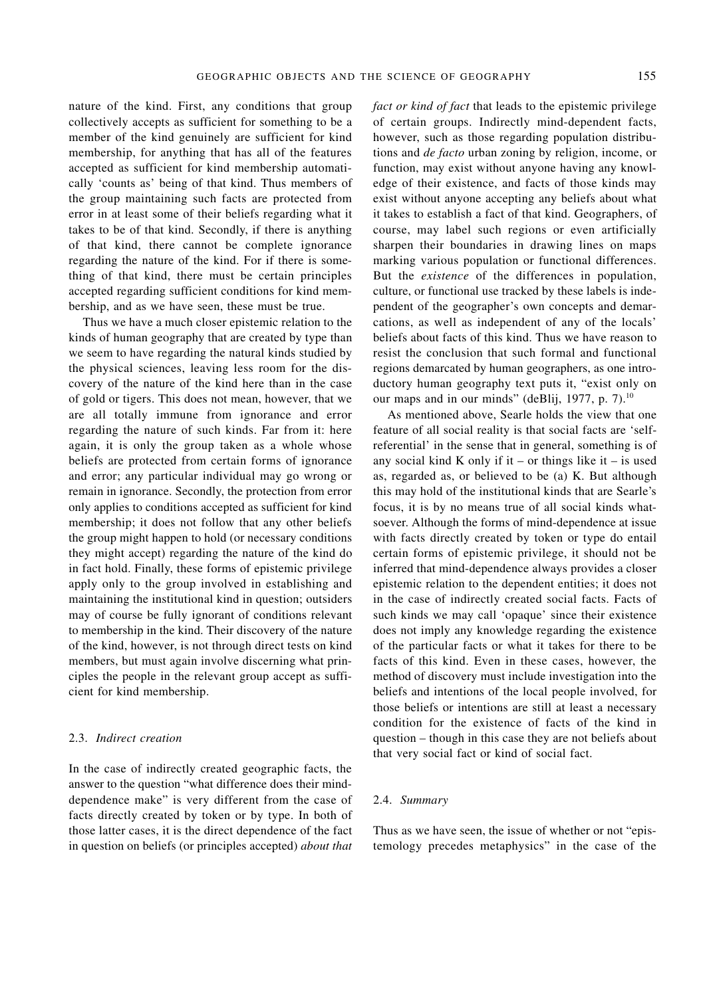nature of the kind. First, any conditions that group collectively accepts as sufficient for something to be a member of the kind genuinely are sufficient for kind membership, for anything that has all of the features accepted as sufficient for kind membership automatically 'counts as' being of that kind. Thus members of the group maintaining such facts are protected from error in at least some of their beliefs regarding what it takes to be of that kind. Secondly, if there is anything of that kind, there cannot be complete ignorance regarding the nature of the kind. For if there is something of that kind, there must be certain principles accepted regarding sufficient conditions for kind membership, and as we have seen, these must be true.

Thus we have a much closer epistemic relation to the kinds of human geography that are created by type than we seem to have regarding the natural kinds studied by the physical sciences, leaving less room for the discovery of the nature of the kind here than in the case of gold or tigers. This does not mean, however, that we are all totally immune from ignorance and error regarding the nature of such kinds. Far from it: here again, it is only the group taken as a whole whose beliefs are protected from certain forms of ignorance and error; any particular individual may go wrong or remain in ignorance. Secondly, the protection from error only applies to conditions accepted as sufficient for kind membership; it does not follow that any other beliefs the group might happen to hold (or necessary conditions they might accept) regarding the nature of the kind do in fact hold. Finally, these forms of epistemic privilege apply only to the group involved in establishing and maintaining the institutional kind in question; outsiders may of course be fully ignorant of conditions relevant to membership in the kind. Their discovery of the nature of the kind, however, is not through direct tests on kind members, but must again involve discerning what principles the people in the relevant group accept as sufficient for kind membership.

#### 2.3. *Indirect creation*

In the case of indirectly created geographic facts, the answer to the question "what difference does their minddependence make" is very different from the case of facts directly created by token or by type. In both of those latter cases, it is the direct dependence of the fact in question on beliefs (or principles accepted) *about that* *fact or kind of fact* that leads to the epistemic privilege of certain groups. Indirectly mind-dependent facts, however, such as those regarding population distributions and *de facto* urban zoning by religion, income, or function, may exist without anyone having any knowledge of their existence, and facts of those kinds may exist without anyone accepting any beliefs about what it takes to establish a fact of that kind. Geographers, of course, may label such regions or even artificially sharpen their boundaries in drawing lines on maps marking various population or functional differences. But the *existence* of the differences in population, culture, or functional use tracked by these labels is independent of the geographer's own concepts and demarcations, as well as independent of any of the locals' beliefs about facts of this kind. Thus we have reason to resist the conclusion that such formal and functional regions demarcated by human geographers, as one introductory human geography text puts it, "exist only on our maps and in our minds" (deBlij, 1977, p. 7). $^{10}$ 

As mentioned above, Searle holds the view that one feature of all social reality is that social facts are 'selfreferential' in the sense that in general, something is of any social kind K only if it – or things like it – is used as, regarded as, or believed to be (a) K. But although this may hold of the institutional kinds that are Searle's focus, it is by no means true of all social kinds whatsoever. Although the forms of mind-dependence at issue with facts directly created by token or type do entail certain forms of epistemic privilege, it should not be inferred that mind-dependence always provides a closer epistemic relation to the dependent entities; it does not in the case of indirectly created social facts. Facts of such kinds we may call 'opaque' since their existence does not imply any knowledge regarding the existence of the particular facts or what it takes for there to be facts of this kind. Even in these cases, however, the method of discovery must include investigation into the beliefs and intentions of the local people involved, for those beliefs or intentions are still at least a necessary condition for the existence of facts of the kind in question – though in this case they are not beliefs about that very social fact or kind of social fact.

#### 2.4. *Summary*

Thus as we have seen, the issue of whether or not "epistemology precedes metaphysics" in the case of the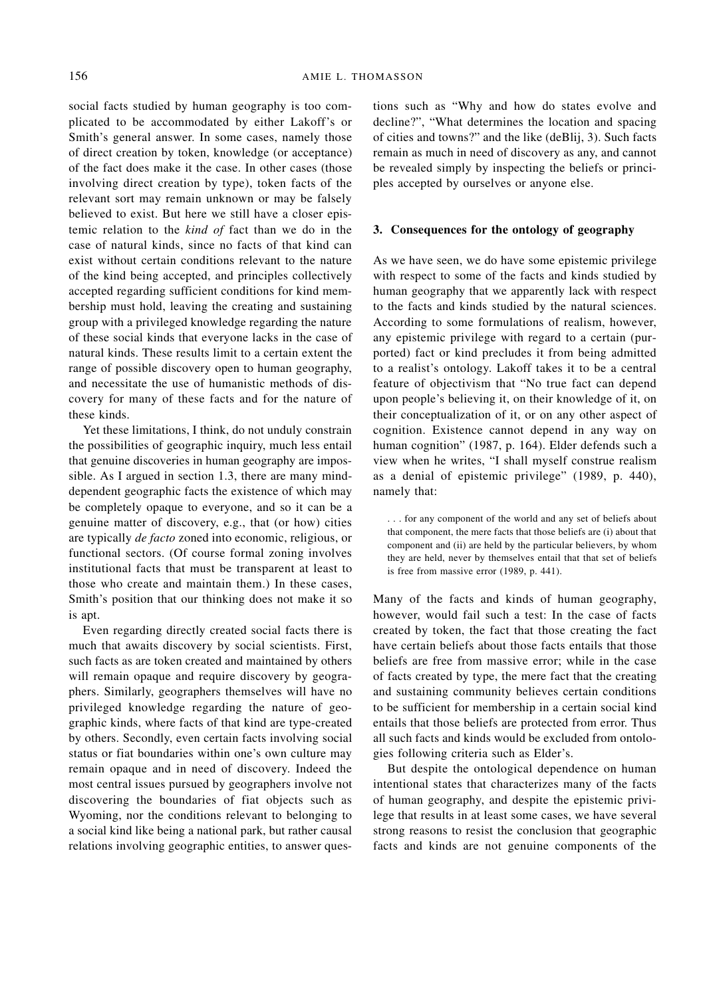social facts studied by human geography is too complicated to be accommodated by either Lakoff's or Smith's general answer. In some cases, namely those of direct creation by token, knowledge (or acceptance) of the fact does make it the case. In other cases (those involving direct creation by type), token facts of the relevant sort may remain unknown or may be falsely believed to exist. But here we still have a closer epistemic relation to the *kind of* fact than we do in the case of natural kinds, since no facts of that kind can exist without certain conditions relevant to the nature of the kind being accepted, and principles collectively accepted regarding sufficient conditions for kind membership must hold, leaving the creating and sustaining group with a privileged knowledge regarding the nature of these social kinds that everyone lacks in the case of natural kinds. These results limit to a certain extent the range of possible discovery open to human geography, and necessitate the use of humanistic methods of discovery for many of these facts and for the nature of these kinds.

Yet these limitations, I think, do not unduly constrain the possibilities of geographic inquiry, much less entail that genuine discoveries in human geography are impossible. As I argued in section 1.3, there are many minddependent geographic facts the existence of which may be completely opaque to everyone, and so it can be a genuine matter of discovery, e.g., that (or how) cities are typically *de facto* zoned into economic, religious, or functional sectors. (Of course formal zoning involves institutional facts that must be transparent at least to those who create and maintain them.) In these cases, Smith's position that our thinking does not make it so is apt.

Even regarding directly created social facts there is much that awaits discovery by social scientists. First, such facts as are token created and maintained by others will remain opaque and require discovery by geographers. Similarly, geographers themselves will have no privileged knowledge regarding the nature of geographic kinds, where facts of that kind are type-created by others. Secondly, even certain facts involving social status or fiat boundaries within one's own culture may remain opaque and in need of discovery. Indeed the most central issues pursued by geographers involve not discovering the boundaries of fiat objects such as Wyoming, nor the conditions relevant to belonging to a social kind like being a national park, but rather causal relations involving geographic entities, to answer ques-

tions such as "Why and how do states evolve and decline?", "What determines the location and spacing of cities and towns?" and the like (deBlij, 3). Such facts remain as much in need of discovery as any, and cannot be revealed simply by inspecting the beliefs or principles accepted by ourselves or anyone else.

# **3. Consequences for the ontology of geography**

As we have seen, we do have some epistemic privilege with respect to some of the facts and kinds studied by human geography that we apparently lack with respect to the facts and kinds studied by the natural sciences. According to some formulations of realism, however, any epistemic privilege with regard to a certain (purported) fact or kind precludes it from being admitted to a realist's ontology. Lakoff takes it to be a central feature of objectivism that "No true fact can depend upon people's believing it, on their knowledge of it, on their conceptualization of it, or on any other aspect of cognition. Existence cannot depend in any way on human cognition" (1987, p. 164). Elder defends such a view when he writes, "I shall myself construe realism as a denial of epistemic privilege" (1989, p. 440), namely that:

. . . for any component of the world and any set of beliefs about that component, the mere facts that those beliefs are (i) about that component and (ii) are held by the particular believers, by whom they are held, never by themselves entail that that set of beliefs is free from massive error (1989, p. 441).

Many of the facts and kinds of human geography, however, would fail such a test: In the case of facts created by token, the fact that those creating the fact have certain beliefs about those facts entails that those beliefs are free from massive error; while in the case of facts created by type, the mere fact that the creating and sustaining community believes certain conditions to be sufficient for membership in a certain social kind entails that those beliefs are protected from error. Thus all such facts and kinds would be excluded from ontologies following criteria such as Elder's.

But despite the ontological dependence on human intentional states that characterizes many of the facts of human geography, and despite the epistemic privilege that results in at least some cases, we have several strong reasons to resist the conclusion that geographic facts and kinds are not genuine components of the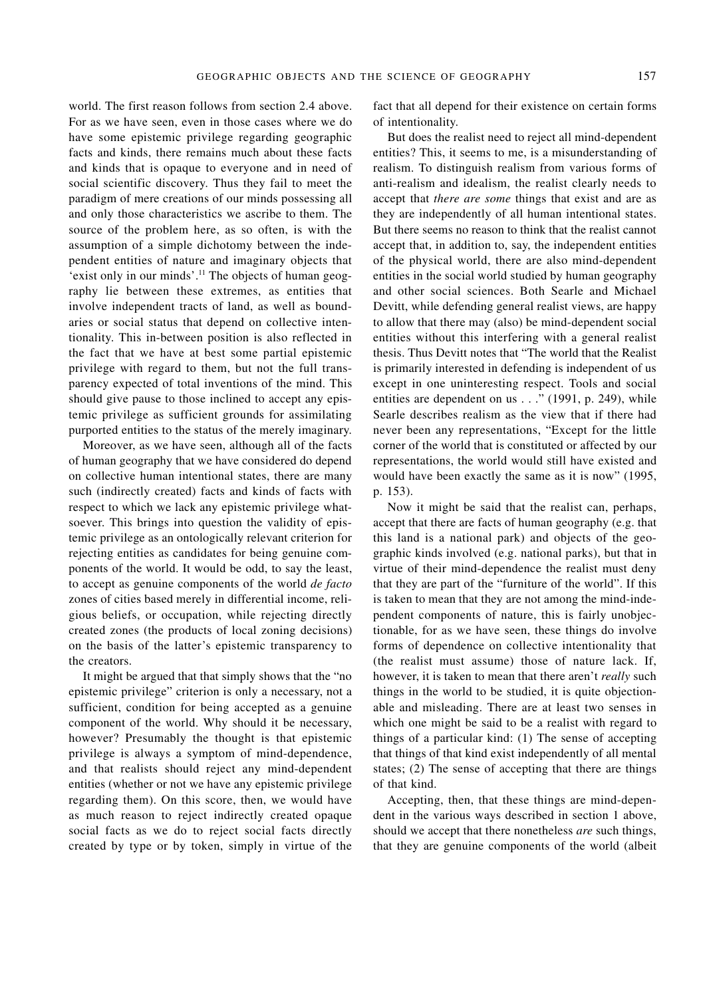world. The first reason follows from section 2.4 above. For as we have seen, even in those cases where we do have some epistemic privilege regarding geographic facts and kinds, there remains much about these facts and kinds that is opaque to everyone and in need of social scientific discovery. Thus they fail to meet the paradigm of mere creations of our minds possessing all and only those characteristics we ascribe to them. The source of the problem here, as so often, is with the assumption of a simple dichotomy between the independent entities of nature and imaginary objects that 'exist only in our minds'.11 The objects of human geography lie between these extremes, as entities that involve independent tracts of land, as well as boundaries or social status that depend on collective intentionality. This in-between position is also reflected in the fact that we have at best some partial epistemic privilege with regard to them, but not the full transparency expected of total inventions of the mind. This should give pause to those inclined to accept any epistemic privilege as sufficient grounds for assimilating purported entities to the status of the merely imaginary.

Moreover, as we have seen, although all of the facts of human geography that we have considered do depend on collective human intentional states, there are many such (indirectly created) facts and kinds of facts with respect to which we lack any epistemic privilege whatsoever. This brings into question the validity of epistemic privilege as an ontologically relevant criterion for rejecting entities as candidates for being genuine components of the world. It would be odd, to say the least, to accept as genuine components of the world *de facto* zones of cities based merely in differential income, religious beliefs, or occupation, while rejecting directly created zones (the products of local zoning decisions) on the basis of the latter's epistemic transparency to the creators.

It might be argued that that simply shows that the "no epistemic privilege" criterion is only a necessary, not a sufficient, condition for being accepted as a genuine component of the world. Why should it be necessary, however? Presumably the thought is that epistemic privilege is always a symptom of mind-dependence, and that realists should reject any mind-dependent entities (whether or not we have any epistemic privilege regarding them). On this score, then, we would have as much reason to reject indirectly created opaque social facts as we do to reject social facts directly created by type or by token, simply in virtue of the

fact that all depend for their existence on certain forms of intentionality.

But does the realist need to reject all mind-dependent entities? This, it seems to me, is a misunderstanding of realism. To distinguish realism from various forms of anti-realism and idealism, the realist clearly needs to accept that *there are some* things that exist and are as they are independently of all human intentional states. But there seems no reason to think that the realist cannot accept that, in addition to, say, the independent entities of the physical world, there are also mind-dependent entities in the social world studied by human geography and other social sciences. Both Searle and Michael Devitt, while defending general realist views, are happy to allow that there may (also) be mind-dependent social entities without this interfering with a general realist thesis. Thus Devitt notes that "The world that the Realist is primarily interested in defending is independent of us except in one uninteresting respect. Tools and social entities are dependent on us . . ." (1991, p. 249), while Searle describes realism as the view that if there had never been any representations, "Except for the little corner of the world that is constituted or affected by our representations, the world would still have existed and would have been exactly the same as it is now" (1995, p. 153).

Now it might be said that the realist can, perhaps, accept that there are facts of human geography (e.g. that this land is a national park) and objects of the geographic kinds involved (e.g. national parks), but that in virtue of their mind-dependence the realist must deny that they are part of the "furniture of the world". If this is taken to mean that they are not among the mind-independent components of nature, this is fairly unobjectionable, for as we have seen, these things do involve forms of dependence on collective intentionality that (the realist must assume) those of nature lack. If, however, it is taken to mean that there aren't *really* such things in the world to be studied, it is quite objectionable and misleading. There are at least two senses in which one might be said to be a realist with regard to things of a particular kind: (1) The sense of accepting that things of that kind exist independently of all mental states; (2) The sense of accepting that there are things of that kind.

Accepting, then, that these things are mind-dependent in the various ways described in section 1 above, should we accept that there nonetheless *are* such things, that they are genuine components of the world (albeit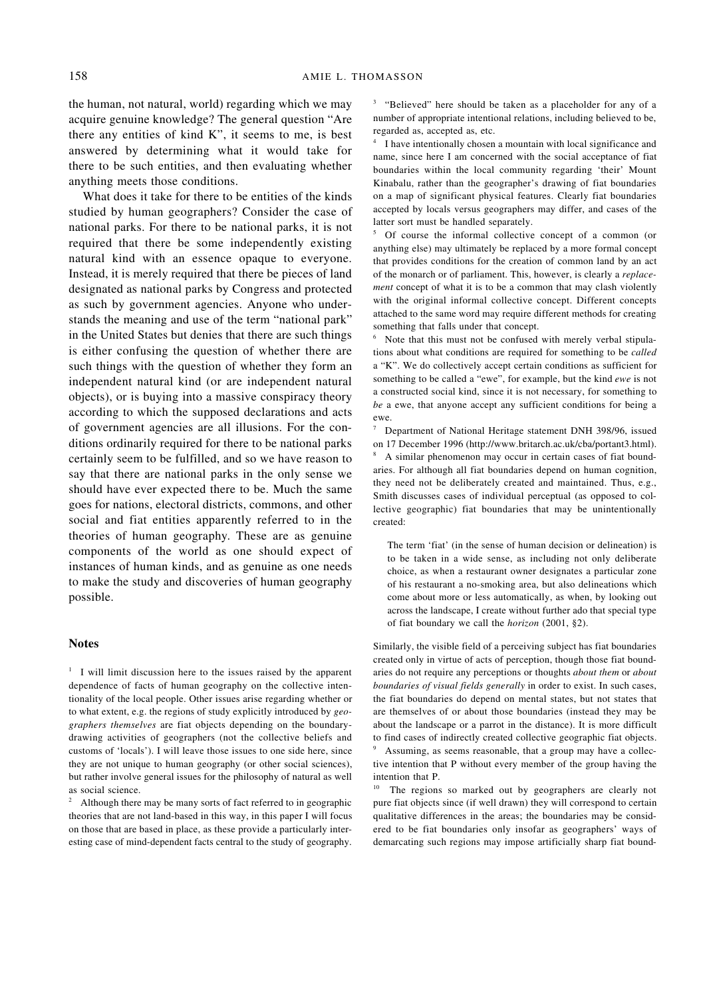the human, not natural, world) regarding which we may acquire genuine knowledge? The general question "Are there any entities of kind K", it seems to me, is best answered by determining what it would take for there to be such entities, and then evaluating whether anything meets those conditions.

What does it take for there to be entities of the kinds studied by human geographers? Consider the case of national parks. For there to be national parks, it is not required that there be some independently existing natural kind with an essence opaque to everyone. Instead, it is merely required that there be pieces of land designated as national parks by Congress and protected as such by government agencies. Anyone who understands the meaning and use of the term "national park" in the United States but denies that there are such things is either confusing the question of whether there are such things with the question of whether they form an independent natural kind (or are independent natural objects), or is buying into a massive conspiracy theory according to which the supposed declarations and acts of government agencies are all illusions. For the conditions ordinarily required for there to be national parks certainly seem to be fulfilled, and so we have reason to say that there are national parks in the only sense we should have ever expected there to be. Much the same goes for nations, electoral districts, commons, and other social and fiat entities apparently referred to in the theories of human geography. These are as genuine components of the world as one should expect of instances of human kinds, and as genuine as one needs to make the study and discoveries of human geography possible.

#### **Notes**

 $1$  I will limit discussion here to the issues raised by the apparent dependence of facts of human geography on the collective intentionality of the local people. Other issues arise regarding whether or to what extent, e.g. the regions of study explicitly introduced by *geographers themselves* are fiat objects depending on the boundarydrawing activities of geographers (not the collective beliefs and customs of 'locals'). I will leave those issues to one side here, since they are not unique to human geography (or other social sciences), but rather involve general issues for the philosophy of natural as well as social science.

<sup>2</sup> Although there may be many sorts of fact referred to in geographic theories that are not land-based in this way, in this paper I will focus on those that are based in place, as these provide a particularly interesting case of mind-dependent facts central to the study of geography.

<sup>3</sup> "Believed" here should be taken as a placeholder for any of a number of appropriate intentional relations, including believed to be, regarded as, accepted as, etc.

I have intentionally chosen a mountain with local significance and name, since here I am concerned with the social acceptance of fiat boundaries within the local community regarding 'their' Mount Kinabalu, rather than the geographer's drawing of fiat boundaries on a map of significant physical features. Clearly fiat boundaries accepted by locals versus geographers may differ, and cases of the latter sort must be handled separately.

<sup>5</sup> Of course the informal collective concept of a common (or anything else) may ultimately be replaced by a more formal concept that provides conditions for the creation of common land by an act of the monarch or of parliament. This, however, is clearly a *replacement* concept of what it is to be a common that may clash violently with the original informal collective concept. Different concepts attached to the same word may require different methods for creating something that falls under that concept.

Note that this must not be confused with merely verbal stipulations about what conditions are required for something to be *called* a "K". We do collectively accept certain conditions as sufficient for something to be called a "ewe", for example, but the kind *ewe* is not a constructed social kind, since it is not necessary, for something to *be* a ewe, that anyone accept any sufficient conditions for being a ewe.

<sup>7</sup> Department of National Heritage statement DNH 398/96, issued on 17 December 1996 (http://www.britarch.ac.uk/cba/portant3.html). <sup>8</sup> A similar phenomenon may occur in certain cases of fiat boundaries. For although all fiat boundaries depend on human cognition, they need not be deliberately created and maintained. Thus, e.g., Smith discusses cases of individual perceptual (as opposed to collective geographic) fiat boundaries that may be unintentionally created:

The term 'fiat' (in the sense of human decision or delineation) is to be taken in a wide sense, as including not only deliberate choice, as when a restaurant owner designates a particular zone of his restaurant a no-smoking area, but also delineations which come about more or less automatically, as when, by looking out across the landscape, I create without further ado that special type of fiat boundary we call the *horizon* (2001, §2).

Similarly, the visible field of a perceiving subject has fiat boundaries created only in virtue of acts of perception, though those fiat boundaries do not require any perceptions or thoughts *about them* or *about boundaries of visual fields generally* in order to exist. In such cases, the fiat boundaries do depend on mental states, but not states that are themselves of or about those boundaries (instead they may be about the landscape or a parrot in the distance). It is more difficult to find cases of indirectly created collective geographic fiat objects. Assuming, as seems reasonable, that a group may have a collective intention that P without every member of the group having the intention that P.

The regions so marked out by geographers are clearly not pure fiat objects since (if well drawn) they will correspond to certain qualitative differences in the areas; the boundaries may be considered to be fiat boundaries only insofar as geographers' ways of demarcating such regions may impose artificially sharp fiat bound